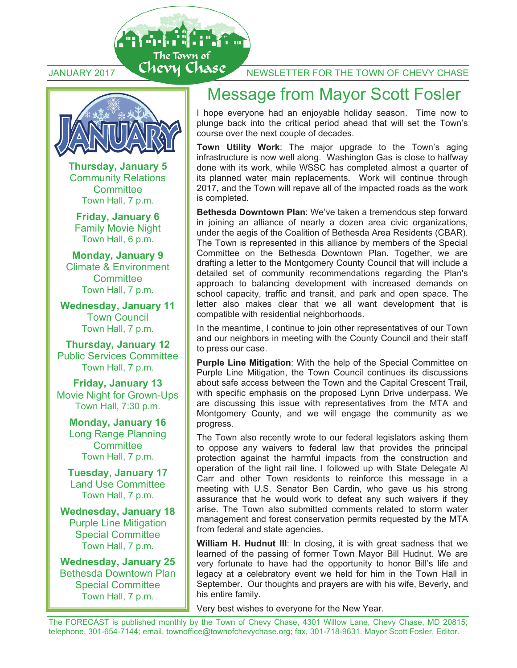

A di fi fi fi to

The Town of

**Thursday, January 5**  Community Relations **Committee** Town Hall, 7 p.m.

**Friday, January 6**  Family Movie Night Town Hall, 6 p.m.

**Monday, January 9**  Climate & Environment **Committee** Town Hall, 7 p.m.

**Wednesday, January 11**  Town Council Town Hall, 7 p.m.

**Thursday, January 12** Public Services Committee Town Hall, 7 p.m.

**Friday, January 13**  Movie Night for Grown-Ups Town Hall, 7:30 p.m.

**Monday, January 16**  Long Range Planning **Committee** Town Hall, 7 p.m.

**Tuesday, January 17**  Land Use Committee Town Hall, 7 p.m.

**Wednesday, January 18**  Purple Line Mitigation Special Committee Town Hall, 7 p.m.

**Wednesday, January 25**  Bethesda Downtown Plan Special Committee Town Hall, 7 p.m.

## JANUARY 2017 Chevy Chase NEWSLETTER FOR THE TOWN OF CHEVY CHASE

### Message from Mayor Scott Fosler

I hope everyone had an enjoyable holiday season. Time now to plunge back into the critical period ahead that will set the Town's course over the next couple of decades.

**Town Utility Work**: The major upgrade to the Town's aging infrastructure is now well along. Washington Gas is close to halfway done with its work, while WSSC has completed almost a quarter of its planned water main replacements. Work will continue through 2017, and the Town will repave all of the impacted roads as the work is completed.

**Bethesda Downtown Plan**: We've taken a tremendous step forward in joining an alliance of nearly a dozen area civic organizations, under the aegis of the Coalition of Bethesda Area Residents (CBAR). The Town is represented in this alliance by members of the Special Committee on the Bethesda Downtown Plan. Together, we are drafting a letter to the Montgomery County Council that will include a detailed set of community recommendations regarding the Plan's approach to balancing development with increased demands on school capacity, traffic and transit, and park and open space. The letter also makes clear that we all want development that is compatible with residential neighborhoods.

In the meantime, I continue to join other representatives of our Town and our neighbors in meeting with the County Council and their staff to press our case.

**Purple Line Mitigation:** With the help of the Special Committee on Purple Line Mitigation, the Town Council continues its discussions about safe access between the Town and the Capital Crescent Trail, with specific emphasis on the proposed Lynn Drive underpass. We are discussing this issue with representatives from the MTA and Montgomery County, and we will engage the community as we progress.

The Town also recently wrote to our federal legislators asking them to oppose any waivers to federal law that provides the principal protection against the harmful impacts from the construction and operation of the light rail line. I followed up with State Delegate Al Carr and other Town residents to reinforce this message in a meeting with U.S. Senator Ben Cardin, who gave us his strong assurance that he would work to defeat any such waivers if they arise. The Town also submitted comments related to storm water management and forest conservation permits requested by the MTA from federal and state agencies.

**William H. Hudnut III**: In closing, it is with great sadness that we learned of the passing of former Town Mayor Bill Hudnut. We are very fortunate to have had the opportunity to honor Bill's life and legacy at a celebratory event we held for him in the Town Hall in September. Our thoughts and prayers are with his wife, Beverly, and his entire family.

Very best wishes to everyone for the New Year.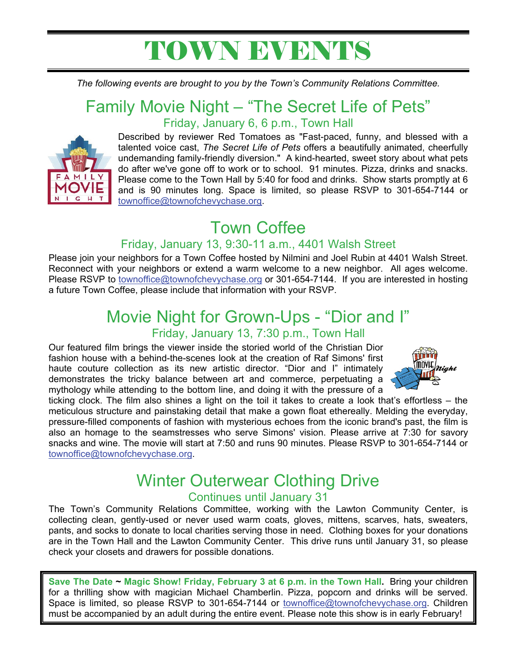## TOWN EVENTS

*The following events are brought to you by the Town's Community Relations Committee.*

### Family Movie Night – "The Secret Life of Pets" Friday, January 6, 6 p.m., Town Hall



Described by reviewer Red Tomatoes as "Fast-paced, funny, and blessed with a talented voice cast, *The Secret Life of Pets* offers a beautifully animated, cheerfully undemanding family-friendly diversion." A kind-hearted, sweet story about what pets do after we've gone off to work or to school. 91 minutes. Pizza, drinks and snacks. Please come to the Town Hall by 5:40 for food and drinks. Show starts promptly at 6 and is 90 minutes long. Space is limited, so please RSVP to 301-654-7144 or townoffice@townofchevychase.org.

## Town Coffee

### Friday, January 13, 9:30-11 a.m., 4401 Walsh Street

Please join your neighbors for a Town Coffee hosted by Nilmini and Joel Rubin at 4401 Walsh Street. Reconnect with your neighbors or extend a warm welcome to a new neighbor. All ages welcome. Please RSVP to townoffice@townofchevychase.org or 301-654-7144. If you are interested in hosting a future Town Coffee, please include that information with your RSVP.

### Movie Night for Grown-Ups - "Dior and I" Friday, January 13, 7:30 p.m., Town Hall

Our featured film brings the viewer inside the storied world of the Christian Dior fashion house with a behind-the-scenes look at the creation of Raf Simons' first haute couture collection as its new artistic director. "Dior and I" intimately demonstrates the tricky balance between art and commerce, perpetuating a mythology while attending to the bottom line, and doing it with the pressure of a



ticking clock. The film also shines a light on the toil it takes to create a look that's effortless – the meticulous structure and painstaking detail that make a gown float ethereally. Melding the everyday, pressure-filled components of fashion with mysterious echoes from the iconic brand's past, the film is also an homage to the seamstresses who serve Simons' vision. Please arrive at 7:30 for savory snacks and wine. The movie will start at 7:50 and runs 90 minutes. Please RSVP to 301-654-7144 or townoffice@townofchevychase.org.

## Winter Outerwear Clothing Drive

### Continues until January 31

The Town's Community Relations Committee, working with the Lawton Community Center, is collecting clean, gently-used or never used warm coats, gloves, mittens, scarves, hats, sweaters, pants, and socks to donate to local charities serving those in need. Clothing boxes for your donations are in the Town Hall and the Lawton Community Center. This drive runs until January 31, so please check your closets and drawers for possible donations.

**Save The Date ~ Magic Show! Friday, February 3 at 6 p.m. in the Town Hall.** Bring your children for a thrilling show with magician Michael Chamberlin. Pizza, popcorn and drinks will be served. Space is limited, so please RSVP to 301-654-7144 or townoffice@townofchevychase.org. Children must be accompanied by an adult during the entire event. Please note this show is in early February!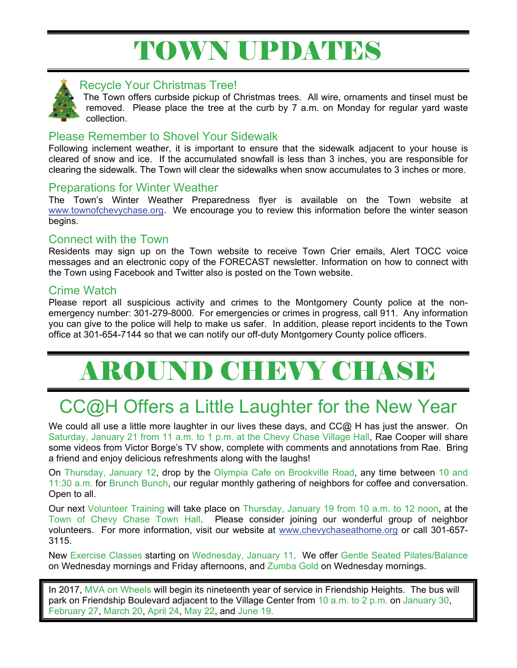## TOWN UPDATES



#### Recycle Your Christmas Tree!

The Town offers curbside pickup of Christmas trees. All wire, ornaments and tinsel must be removed. Please place the tree at the curb by 7 a.m. on Monday for regular yard waste collection.

### Please Remember to Shovel Your Sidewalk

Following inclement weather, it is important to ensure that the sidewalk adjacent to your house is cleared of snow and ice. If the accumulated snowfall is less than 3 inches, you are responsible for clearing the sidewalk. The Town will clear the sidewalks when snow accumulates to 3 inches or more.

### Preparations for Winter Weather

The Town's Winter Weather Preparedness flyer is available on the Town website at www.townofchevychase.org. We encourage you to review this information before the winter season begins.

#### Connect with the Town

Residents may sign up on the Town website to receive Town Crier emails, Alert TOCC voice messages and an electronic copy of the FORECAST newsletter. Information on how to connect with the Town using Facebook and Twitter also is posted on the Town website.

### Crime Watch

Please report all suspicious activity and crimes to the Montgomery County police at the nonemergency number: 301-279-8000. For emergencies or crimes in progress, call 911. Any information you can give to the police will help to make us safer. In addition, please report incidents to the Town office at 301-654-7144 so that we can notify our off-duty Montgomery County police officers.

# AROUND CHEVY CHASE

## CC@H Offers a Little Laughter for the New Year

We could all use a little more laughter in our lives these days, and CC@ H has just the answer. On Saturday, January 21 from 11 a.m. to 1 p.m. at the Chevy Chase Village Hall, Rae Cooper will share some videos from Victor Borge's TV show, complete with comments and annotations from Rae. Bring a friend and enjoy delicious refreshments along with the laughs!

On Thursday, January 12, drop by the Olympia Cafe on Brookville Road, any time between 10 and 11:30 a.m. for Brunch Bunch, our regular monthly gathering of neighbors for coffee and conversation. Open to all.

Our next Volunteer Training will take place on Thursday, January 19 from 10 a.m. to 12 noon, at the Town of Chevy Chase Town Hall. Please consider joining our wonderful group of neighbor volunteers. For more information, visit our website at www.chevychaseathome.org or call 301-657- 3115.

New Exercise Classes starting on Wednesday, January 11. We offer Gentle Seated Pilates/Balance on Wednesday mornings and Friday afternoons, and Zumba Gold on Wednesday mornings.

In 2017, MVA on Wheels will begin its nineteenth year of service in Friendship Heights. The bus will park on Friendship Boulevard adjacent to the Village Center from 10 a.m. to 2 p.m. on January 30, February 27, March 20, April 24, May 22, and June 19.